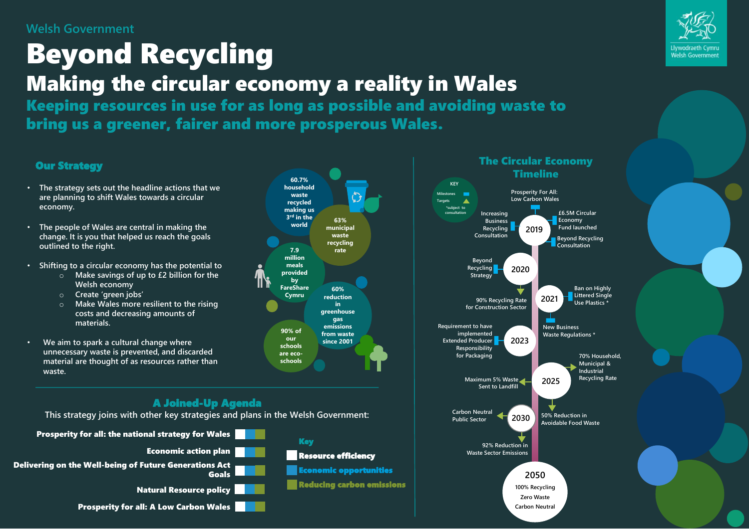#### **Welsh Government**

# Beyond Recycling Making the circular economy a reality in Wales

Keeping resources in use for as long as possible and avoiding waste to bring us a greener, fairer and more prosperous Wales.

> **60.7% household waste recycled making us 3 rd in the world**

**63% municipal waste recycling rate**

**60% reduction in greenhouse gas emissions from waste since 2001**

**7.9 million meals provided by FareShare Cymru**

**90% of our schools are ecoschools**

#### Our Strategy

- **The strategy sets out the headline actions that we are planning to shift Wales towards a circular economy.**
- **The people of Wales are central in making the change. It is you that helped us reach the goals outlined to the right.**
- **Shifting to a circular economy has the potential to** 
	- o **Make savings of up to £2 billion for the Welsh economy**
	- o **Create 'green jobs'**
	- o **Make Wales more resilient to the rising costs and decreasing amounts of materials.**
- **We aim to spark a cultural change where unnecessary waste is prevented, and discarded material are thought of as resources rather than waste.**

#### A Joined-Up Agenda

**This strategy joins with other key strategies and plans in the Welsh Government:**